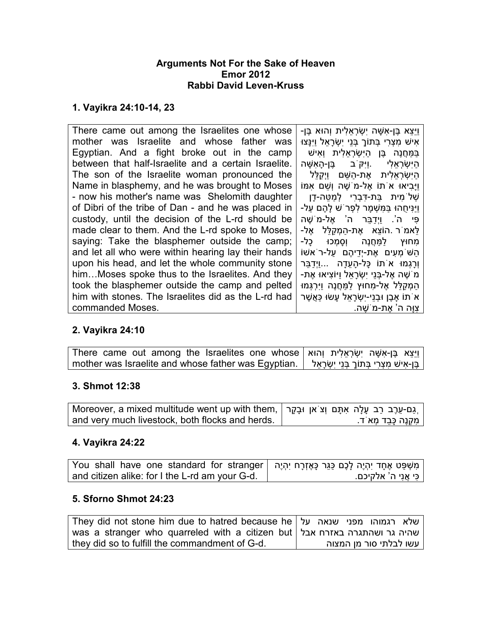#### Arguments Not For the Sake of Heaven Emor 2012 Rabbi David Leven-Kruss

## 1. Vayikra 24:10-14, 23

There came out among the Israelites one whose mother was Israelite and whose father was Egyptian. And a fight broke out in the camp between that half-Israelite and a certain Israelite. The son of the Israelite woman pronounced the Name in blasphemy, and he was brought to Moses - now his mother's name was Shelomith daughter of Dibri of the tribe of Dan - and he was placed in custody, until the decision of the L-rd should be made clear to them. And the L-rd spoke to Moses, saying: Take the blasphemer outside the camp; and let all who were within hearing lay their hands upon his head, and let the whole community stone him…Moses spoke thus to the Israelites. And they took the blasphemer outside the camp and pelted him with stones. The Israelites did as the L-rd had commanded Moses. וַיֵּצֵא בֶּן- אִשָּׁ ה יִשְׂ רְאֵלִית וְהוּא בֶּן- אִישׁ מִצְרִי בְּתוֹךְ בְּנֵי יִשְׂ רָאֵל וַיִּנָּצוּ ּבַּמַּחֲנֶה בֶּן הַיִּשְׂרָאֵלִית וְאִישׁ הַיִּשְׂ רְאֵלִי .וַיִּקֹּב בֶּן-הָאִשָּׁ ה הַיִּשְׂ רְאֵלִית אֶת-הַשֵּׁ ם וַיְקַלֵּל וַיָּבִיאוּ אֹתוֹ אֶל- מֹשֶׁ ה וְשֵׁ ם אִמּוֹ שְׁ לֹמִית בַּת-דִּבְרִי לְמַ טֵּ ה דָן- וַיַּנִּיחֻהוּ בַּמִּשְׁ מָר לִפְרֹשׁ לָהֶ ם עַל- פִּי ה<sup>ִי</sup>. וַיִּדַבֵּר ה<sup>ִי</sup> אֶל-מ<sup>ִי</sup>שֶׁה לֵּאמֹר .הוֹצֵא אֶת-הַמְקַלֵּל אֶל- מִחוּץ לַמַּחֲנֶה וְסָמְכוּ כָל- הַשֹּׁמְ עִים אֶת- יְדֵיהֶם עַל-רֹאשׁוֹ וְרָגְמוּ אֹתוֹ כָּל-הָעֵדָה ...וַיְדַבֵּר -מֹשֶׁה אֶל-בְּנֵי יִשָׂראַל וַיּוֹצִיאוּ אֶת הַמְקַלֵּל -אֶל מִחוּץ לַמַּחֲנֶה וַיִּרְגְּמוּ א<sup>ֹ</sup>תוֹ אבֶן וּבְנַי-יִשְׂראַל עַשׂוּ כַּאֲשֶׁר צוּה ה' אֵת-מ שַׁה.

## 2. Vayikra 24:10

| There came out among the Israelites one whose   וַיֵּצֵא בֶּן-אִשָּׁה יִשְׂרְאֵלִית וְהוּא<br>mother was Israelite and whose father was Egyptian.   נֶּן-אִישׁ מִצְרִי בְּתוֹךְ בְּנֵי יִשְׂרָאֵל |  |
|---------------------------------------------------------------------------------------------------------------------------------------------------------------------------------------------------|--|
| 3. Shmot 12:38                                                                                                                                                                                    |  |

| Moreover, a mixed multitude went up with them,   נְם-עֵרֶב רַב עָלָה אִתָּם וְצֹאן וּבָקָר. |                         |
|---------------------------------------------------------------------------------------------|-------------------------|
| and very much livestock, both flocks and herds.                                             | ּמִקְנֶה כָּבֵד מָא ֹד. |

## 4. Vayikra 24:22

| מִשְׁפַּט אֶחָד יִהְיֶה לָכֶם כַּגֵּר כָּאֶזְרָח יִהְיֶה   You shall have one standard for stranger |                         |
|-----------------------------------------------------------------------------------------------------|-------------------------|
| and citizen alike: for I the L-rd am your G-d.                                                      | ∣ כִּי אֲנִי ה' אלקיכם. |

## 5. Sforno Shmot 24:23

| שלא רגמוהו מפני שנאה על   They did not stone him due to hatred because he   |                        |
|-----------------------------------------------------------------------------|------------------------|
| was a stranger who quarreled with a citizen but   שהיה גר ושהתגרה באזרח אבל |                        |
| they did so to fulfill the commandment of G-d.                              | עשו לבלתי סור מן המצוה |